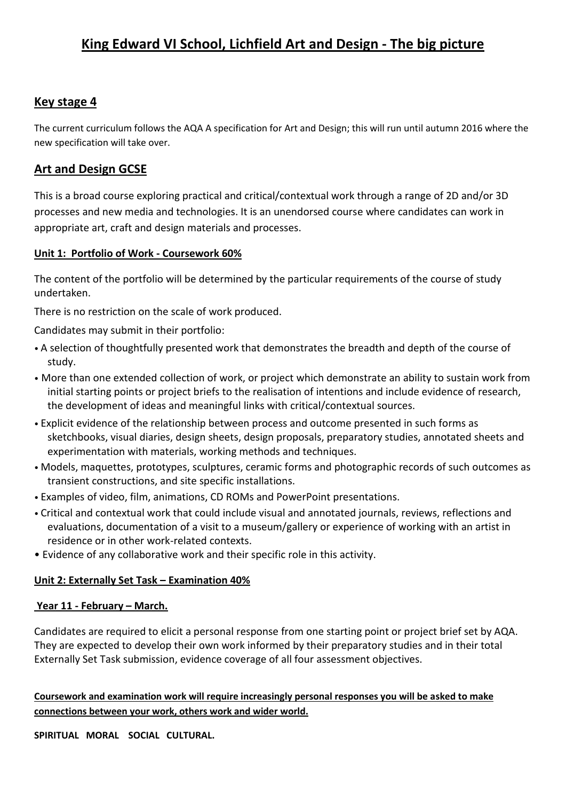# **King Edward VI School, Lichfield Art and Design - The big picture**

## **Key stage 4**

The current curriculum follows the AQA A specification for Art and Design; this will run until autumn 2016 where the new specification will take over.

### **Art and Design GCSE**

This is a broad course exploring practical and critical/contextual work through a range of 2D and/or 3D processes and new media and technologies. It is an unendorsed course where candidates can work in appropriate art, craft and design materials and processes.

### **Unit 1: Portfolio of Work - Coursework 60%**

The content of the portfolio will be determined by the particular requirements of the course of study undertaken.

There is no restriction on the scale of work produced.

Candidates may submit in their portfolio:

- A selection of thoughtfully presented work that demonstrates the breadth and depth of the course of study.
- More than one extended collection of work, or project which demonstrate an ability to sustain work from initial starting points or project briefs to the realisation of intentions and include evidence of research, the development of ideas and meaningful links with critical/contextual sources.
- Explicit evidence of the relationship between process and outcome presented in such forms as sketchbooks, visual diaries, design sheets, design proposals, preparatory studies, annotated sheets and experimentation with materials, working methods and techniques.
- Models, maquettes, prototypes, sculptures, ceramic forms and photographic records of such outcomes as transient constructions, and site specific installations.
- Examples of video, film, animations, CD ROMs and PowerPoint presentations.
- Critical and contextual work that could include visual and annotated journals, reviews, reflections and evaluations, documentation of a visit to a museum/gallery or experience of working with an artist in residence or in other work-related contexts.
- Evidence of any collaborative work and their specific role in this activity.

### **Unit 2: Externally Set Task – Examination 40%**

### **Year 11 - February – March.**

Candidates are required to elicit a personal response from one starting point or project brief set by AQA. They are expected to develop their own work informed by their preparatory studies and in their total Externally Set Task submission, evidence coverage of all four assessment objectives.

### **Coursework and examination work will require increasingly personal responses you will be asked to make connections between your work, others work and wider world.**

**SPIRITUAL MORAL SOCIAL CULTURAL.**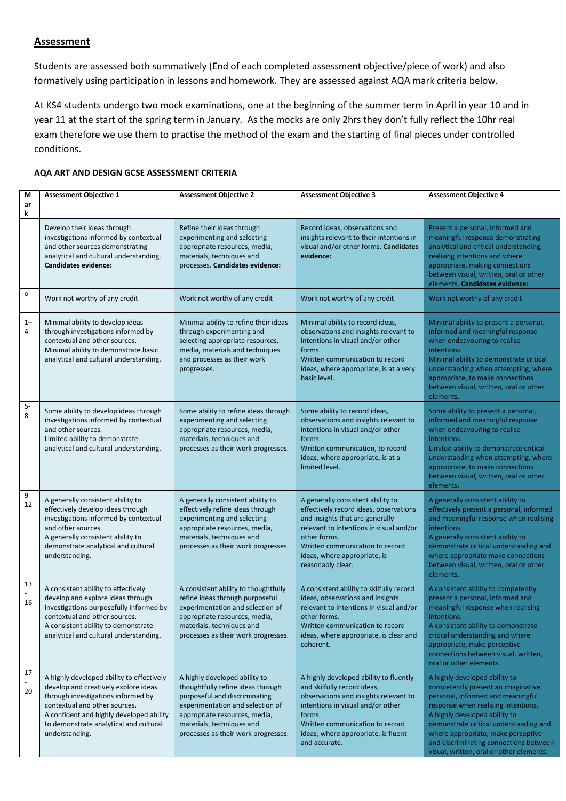#### **Assessment**

Students are assessed both summatively (End of each completed assessment objective/piece of work) and also formatively using participation in lessons and homework. They are assessed against AQA mark criteria below.

At KS4 students undergo two mock examinations, one at the beginning of the summer term in April in year 10 and in year 11 at the start of the spring term in January. As the mocks are only 2hrs they don't fully reflect the 10hr real exam therefore we use them to practise the method of the exam and the starting of final pieces under controlled conditions.

#### **AQA ART AND DESIGN GCSE ASSESSMENT CRITERIA**

| M<br>ar<br>k    | <b>Assessment Objective 1</b>                                                                                                                                                                                                                                    | <b>Assessment Objective 2</b>                                                                                                                                                                                                                | <b>Assessment Objective 3</b>                                                                                                                                                                                                                                     | <b>Assessment Objective 4</b>                                                                                                                                                                                                                                                                                                                           |
|-----------------|------------------------------------------------------------------------------------------------------------------------------------------------------------------------------------------------------------------------------------------------------------------|----------------------------------------------------------------------------------------------------------------------------------------------------------------------------------------------------------------------------------------------|-------------------------------------------------------------------------------------------------------------------------------------------------------------------------------------------------------------------------------------------------------------------|---------------------------------------------------------------------------------------------------------------------------------------------------------------------------------------------------------------------------------------------------------------------------------------------------------------------------------------------------------|
|                 | Develop their ideas through<br>investigations informed by contextual<br>and other sources demonstrating<br>analytical and cultural understanding.<br><b>Candidates evidence:</b>                                                                                 | Refine their ideas through<br>experimenting and selecting<br>appropriate resources, media,<br>materials, techniques and<br>processes. Candidates evidence:                                                                                   | Record ideas, observations and<br>insights relevant to their intentions in<br>visual and/or other forms. Candidates<br>evidence:                                                                                                                                  | Present a personal, informed and<br>meaningful response demonstrating<br>analytical and critical understanding,<br>realising intentions and where<br>appropriate, making connections<br>between visual, written, oral or other<br>elements. Candidates evidence:                                                                                        |
| $\mathsf{o}\,$  | Work not worthy of any credit                                                                                                                                                                                                                                    | Work not worthy of any credit                                                                                                                                                                                                                | Work not worthy of any credit                                                                                                                                                                                                                                     | Work not worthy of any credit                                                                                                                                                                                                                                                                                                                           |
| $1 -$<br>4      | Minimal ability to develop ideas<br>through investigations informed by<br>contextual and other sources.<br>Minimal ability to demonstrate basic<br>analytical and cultural understanding.                                                                        | Minimal ability to refine their ideas<br>through experimenting and<br>selecting appropriate resources,<br>media, materials and techniques<br>and processes as their work<br>progresses.                                                      | Minimal ability to record ideas,<br>observations and insights relevant to<br>intentions in visual and/or other<br>forms.<br>Written communication to record<br>ideas, where appropriate, is at a very<br>basic level.                                             | Minimal ability to present a personal,<br>informed and meaningful response<br>when endeavouring to realise<br>intentions.<br>Minimal ability to demonstrate critical<br>understanding when attempting, where<br>appropriate, to make connections<br>between visual, written, oral or other<br>elements.                                                 |
| $5-$<br>$\bf 8$ | Some ability to develop ideas through<br>investigations informed by contextual<br>and other sources.<br>Limited ability to demonstrate<br>analytical and cultural understanding.                                                                                 | Some ability to refine ideas through<br>experimenting and selecting<br>appropriate resources, media,<br>materials, techniques and<br>processes as their work progresses.                                                                     | Some ability to record ideas,<br>observations and insights relevant to<br>intentions in visual and/or other<br>forms.<br>Written communication, to record<br>ideas, where appropriate, is at a<br>limited level.                                                  | Some ability to present a personal,<br>informed and meaningful response<br>when endeavouring to realise<br>intentions.<br>Limited ability to demonstrate critical<br>understanding when attempting, where<br>appropriate, to make connections<br>between visual, written, oral or other<br>elements.                                                    |
| 9-<br>12        | A generally consistent ability to<br>effectively develop ideas through<br>investigations informed by contextual<br>and other sources.<br>A generally consistent ability to<br>demonstrate analytical and cultural<br>understanding.                              | A generally consistent ability to<br>effectively refine ideas through<br>experimenting and selecting<br>appropriate resources, media,<br>materials, techniques and<br>processes as their work progresses.                                    | A generally consistent ability to<br>effectively record ideas, observations<br>and insights that are generally<br>relevant to intentions in visual and/or<br>other forms.<br>Written communication to record<br>ideas, where appropriate, is<br>reasonably clear. | A generally consistent ability to<br>effectively present a personal, informed<br>and meaningful response when realising<br>intentions.<br>A generally consistent ability to<br>demonstrate critical understanding and<br>where appropriate make connections<br>between visual, written, oral or other<br>elements.                                      |
| 13<br>16        | A consistent ability to effectively<br>develop and explore ideas through<br>investigations purposefully informed by<br>contextual and other sources.<br>A consistent ability to demonstrate<br>analytical and cultural understanding.                            | A consistent ability to thoughtfully<br>refine ideas through purposeful<br>experimentation and selection of<br>appropriate resources, media,<br>materials, techniques and<br>processes as their work progresses.                             | A consistent ability to skilfully record<br>ideas, observations and insights<br>relevant to intentions in visual and/or<br>other forms.<br>Written communication to record<br>ideas, where appropriate, is clear and<br>coherent.                                 | A consistent ability to competently<br>present a personal, informed and<br>meaningful response when realising<br>intentions.<br>A consistent ability to demonstrate<br>critical understanding and where<br>appropriate, make perceptive<br>connections between visual, written,<br>oral or other elements.                                              |
| 17<br>20        | A highly developed ability to effectively<br>develop and creatively explore ideas<br>through investigations informed by<br>contextual and other sources.<br>A confident and highly developed ability<br>to demonstrate analytical and cultural<br>understanding. | A highly developed ability to<br>thoughtfully refine ideas through<br>purposeful and discriminating<br>experimentation and selection of<br>appropriate resources, media,<br>materials, techniques and<br>processes as their work progresses. | A highly developed ability to fluently<br>and skilfully record ideas,<br>observations and insights relevant to<br>intentions in visual and/or other<br>forms.<br>Written communication to record<br>ideas, where appropriate, is fluent<br>and accurate.          | A highly developed ability to<br>competently present an imaginative,<br>personal, informed and meaningful<br>response when realising intentions.<br>A highly developed ability to<br>demonstrate critical understanding and<br>where appropriate, make perceptive<br>and discriminating connections between<br>visual, written, oral or other elements. |